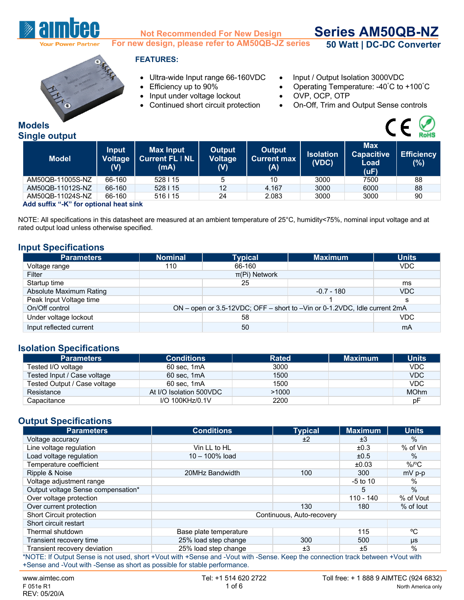

**Models**

### **Not Recommended For New Design For new design, please refer to AM50QB-JZ series**

**Series AM50QB-NZ 50 Watt | DC-DC Converter**



### **FEATURES:**

- Ultra-wide Input range 66-160VDC Input / Output Isolation 3000VDC
- 
- Input under voltage lockout OVP, OCP, OTP
- 
- 
- Efficiency up to 90% Operating Temperature: -40°C to +100°C
	-
- Continued short circuit protection On-Off, Trim and Output Sense controls



| <b>RoHS</b><br><b>Single output</b> |                  |                                       |                                                    |                                 |                                     |                           |                                                 |                          |  |  |
|-------------------------------------|------------------|---------------------------------------|----------------------------------------------------|---------------------------------|-------------------------------------|---------------------------|-------------------------------------------------|--------------------------|--|--|
|                                     | <b>Model</b>     | <b>Input</b><br><b>Voltage</b><br>(V) | <b>Max Input</b><br><b>Current FL   NL</b><br>(mA) | Output<br><b>Voltage</b><br>(V) | Output<br><b>Current max</b><br>(A) | <b>Isolation</b><br>(VDC) | <b>Max</b><br><b>Capacitive</b><br>Load<br>(uF) | <b>Efficiency</b><br>(%) |  |  |
|                                     | AM50QB-11005S-NZ | 66-160                                | 528   15                                           | 5                               | 10                                  | 3000                      | 7500                                            | 88                       |  |  |
|                                     | AM50QB-11012S-NZ | 66-160                                | 528   15                                           | 12                              | 4.167                               | 3000                      | 6000                                            | 88                       |  |  |
|                                     | AM50QB-11024S-NZ | 66-160                                | $516$   15                                         | 24                              | 2.083                               | 3000                      | 3000                                            | 90                       |  |  |

**Add suffix "-K" for optional heat sink**

NOTE: All specifications in this datasheet are measured at an ambient temperature of 25°C, humidity<75%, nominal input voltage and at rated output load unless otherwise specified.

#### **Input Specifications**

| <b>Parameters</b>       | <b>Nominal</b> | <b>Typical</b> | <b>Maximum</b>                                                            | <b>Units</b> |
|-------------------------|----------------|----------------|---------------------------------------------------------------------------|--------------|
| Voltage range           | 110            | 66-160         |                                                                           | <b>VDC</b>   |
| Filter                  |                |                |                                                                           |              |
| Startup time            |                | 25             |                                                                           | ms           |
| Absolute Maximum Rating |                |                | $-0.7 - 180$                                                              | <b>VDC</b>   |
| Peak Input Voltage time |                |                |                                                                           | s            |
| On/Off control          |                |                | ON – open or 3.5-12VDC; OFF – short to –Vin or 0-1.2VDC, Idle current 2mA |              |
| Under voltage lockout   |                | 58             |                                                                           | <b>VDC</b>   |
| Input reflected current |                | 50             |                                                                           | mA           |

#### **Isolation Specifications**

| <b>Parameters</b>            | <b>Conditions</b>       | <b>Rated</b> | <b>Maximum</b> | <b>Units</b> |
|------------------------------|-------------------------|--------------|----------------|--------------|
| Tested I/O voltage           | 60 sec, 1mA             | 3000         |                | <b>VDC</b>   |
| Tested Input / Case voltage  | 60 sec, 1mA             | 1500         |                | <b>VDC</b>   |
| Tested Output / Case voltage | 60 sec, 1mA             | 1500         |                | <b>VDC</b>   |
| Resistance                   | At I/O Isolation 500VDC | >1000        |                | <b>MOhm</b>  |
| Capacitance                  | I/O 100KHz/0.1V         | 2200         |                | рF           |

# **Output Specifications**

| <b>Parameters</b>                                                                                                             | <b>Conditions</b>      | <b>Typical</b>            | <b>Maximum</b> | <b>Units</b> |
|-------------------------------------------------------------------------------------------------------------------------------|------------------------|---------------------------|----------------|--------------|
| Voltage accuracy                                                                                                              |                        | ±2                        | ±3             | $\%$         |
| Line voltage regulation                                                                                                       | Vin LL to HL           |                           | ±0.3           | % of Vin     |
| Load voltage regulation                                                                                                       | $10 - 100\%$ load      |                           | ±0.5           | $\%$         |
| Temperature coefficient                                                                                                       |                        |                           | ±0.03          | $\%$ /°C     |
| Ripple & Noise                                                                                                                | 20MHz Bandwidth        | 100                       | 300            | $mV$ p-p     |
| Voltage adjustment range                                                                                                      |                        |                           | $-5$ to 10     | %            |
| Output voltage Sense compensation*                                                                                            |                        |                           | 5              | $\%$         |
| Over voltage protection                                                                                                       |                        |                           | $110 - 140$    | % of Vout    |
| Over current protection                                                                                                       |                        | 130                       | 180            | $%$ of lout  |
| <b>Short Circuit protection</b>                                                                                               |                        | Continuous, Auto-recovery |                |              |
| Short circuit restart                                                                                                         |                        |                           |                |              |
| Thermal shutdown                                                                                                              | Base plate temperature |                           | 115            | °C           |
| Transient recovery time                                                                                                       | 25% load step change   | 300                       | 500            | μs           |
| Transient recovery deviation                                                                                                  | 25% load step change   | ±3                        | ±5             | $\%$         |
| *NOTE: If Output Sopeo is not used, short +Vout with +Sopeo and Vout with Sopeo. Keep the connection track between +Vout with |                        |                           |                |              |

\*NOTE: If Output Sense is not used, short +Vout with +Sense and -Vout with -Sense. Keep the connection track between +Vout with +Sense and -Vout with -Sense as short as possible for stable performance.

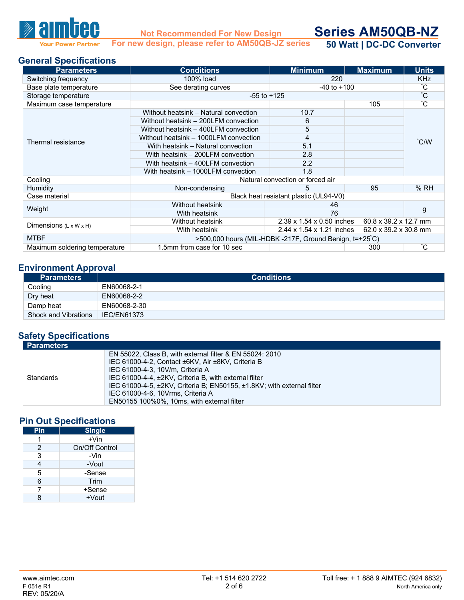

**Not Recommended For New Design For new design, please refer to AM50QB-JZ series**

**Series AM50QB-NZ 50 Watt | DC-DC Converter**

**General Specifications**

| <b>Parameters</b>                  | <b>Conditions</b>                                                   | <b>Minimum</b>                                          | <b>Maximum</b>                    | <b>Units</b>                 |  |  |  |
|------------------------------------|---------------------------------------------------------------------|---------------------------------------------------------|-----------------------------------|------------------------------|--|--|--|
| Switching frequency                | 100% load                                                           | 220                                                     |                                   | <b>KHz</b><br>$\overline{C}$ |  |  |  |
| Base plate temperature             | See derating curves                                                 | $-40$ to $+100$                                         |                                   |                              |  |  |  |
| Storage temperature                | $-55$ to $+125$                                                     |                                                         |                                   |                              |  |  |  |
| Maximum case temperature           |                                                                     |                                                         | 105                               | $\overline{C}$               |  |  |  |
|                                    | Without heatsink - Natural convection                               | 10.7                                                    |                                   |                              |  |  |  |
|                                    | Without heatsink - 200LFM convection                                | 6                                                       |                                   |                              |  |  |  |
|                                    | Without heatsink - 400LFM convection                                | 5                                                       |                                   |                              |  |  |  |
| Thermal resistance                 | Without heatsink - 1000LFM convection                               | 4                                                       |                                   | $\degree$ C/W                |  |  |  |
|                                    | With heatsink - Natural convection                                  | 5.1                                                     |                                   |                              |  |  |  |
|                                    | With heatsink - 200LFM convection                                   | 2.8                                                     |                                   |                              |  |  |  |
|                                    | With heatsink - 400LFM convection                                   | 2.2                                                     |                                   |                              |  |  |  |
|                                    | With heatsink - 1000LFM convection                                  | 1.8                                                     |                                   |                              |  |  |  |
| Cooling                            |                                                                     | Natural convection or forced air                        |                                   |                              |  |  |  |
| <b>Humidity</b>                    | Non-condensing                                                      | 5                                                       | 95                                | %RH                          |  |  |  |
| Case material                      |                                                                     | Black heat resistant plastic (UL94-V0)                  |                                   |                              |  |  |  |
|                                    | Without heatsink                                                    | 46                                                      |                                   |                              |  |  |  |
| Weight                             | With heatsink                                                       | 76                                                      |                                   | g                            |  |  |  |
|                                    | Without heatsink                                                    | $2.39 \times 1.54 \times 0.50$ inches                   | $60.8 \times 39.2 \times 12.7$ mm |                              |  |  |  |
| Dimensions $(L \times W \times H)$ | 2.44 x 1.54 x 1.21 inches<br>62.0 x 39.2 x 30.8 mm<br>With heatsink |                                                         |                                   |                              |  |  |  |
| <b>MTBF</b>                        |                                                                     | >500,000 hours (MIL-HDBK -217F, Ground Benign, t=+25°C) |                                   |                              |  |  |  |
| Maximum soldering temperature      | 1.5mm from case for 10 sec                                          |                                                         | °С<br>300                         |                              |  |  |  |

## **Environment Approval**

| <b>Parameters</b>    | <b>Conditions</b>  |
|----------------------|--------------------|
| Cooling              | EN60068-2-1        |
| Dry heat             | EN60068-2-2        |
| Damp heat            | EN60068-2-30       |
| Shock and Vibrations | <b>IEC/EN61373</b> |

## **Safety Specifications**

| EN 55022, Class B, with external filter & EN 55024: 2010                                                                                                                                                                                                                                                                 | l Parameters |
|--------------------------------------------------------------------------------------------------------------------------------------------------------------------------------------------------------------------------------------------------------------------------------------------------------------------------|--------------|
| IEC 61000-4-2, Contact ±6KV, Air ±8KV, Criteria B<br>IEC 61000-4-3, 10V/m. Criteria A<br>IEC 61000-4-4, ±2KV, Criteria B, with external filter<br>Standards<br>IEC 61000-4-5, ±2KV, Criteria B; EN50155, ±1.8KV; with external filter<br>IEC 61000-4-6, 10Vrms, Criteria A<br>EN50155 100%0%, 10ms, with external filter |              |

### **Pin Out Specifications**

| Pin | <b>Single</b>  |
|-----|----------------|
| 1   | $+V$ in        |
| 2   | On/Off Control |
| 3   | -Vin           |
|     | -Vout          |
| 5   | -Sense         |
| 6   | Trim           |
| 7   | +Sense         |
|     | $+V$ out       |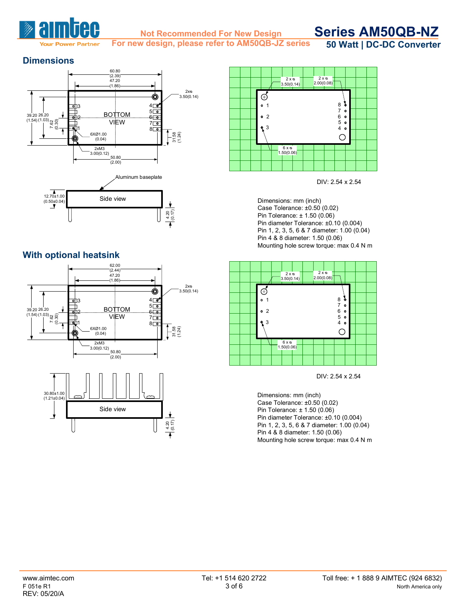

**For new design, please refer to AM50QB-JZ series**

**Series AM50QB-NZ 50 Watt | DC-DC Converter**

**Dimensions**





## **With optional heatsink**









Dimensions: mm (inch) Case Tolerance: ±0.50 (0.02) Pin Tolerance: ± 1.50 (0.06) Pin diameter Tolerance: ±0.10 (0.004) Pin 1, 2, 3, 5, 6 & 7 diameter: 1.00 (0.04) Pin 4 & 8 diameter: 1.50 (0.06) Mounting hole screw torque: max 0.4 N m



DIV: 2.54 x 2.54

Dimensions: mm (inch) Case Tolerance: ±0.50 (0.02) Pin Tolerance: ± 1.50 (0.06) Pin diameter Tolerance: ±0.10 (0.004) Pin 1, 2, 3, 5, 6 & 7 diameter: 1.00 (0.04) Pin 4 & 8 diameter: 1.50 (0.06) Mounting hole screw torque: max 0.4 N m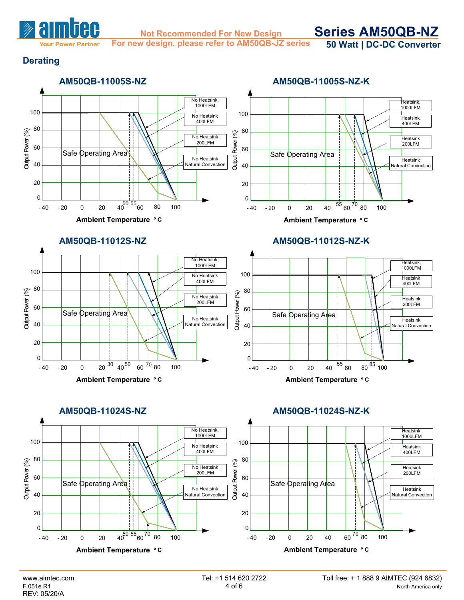

**For new design, please refer to AM50QB-JZ series**

**Series AM50QB-NZ 50 Watt | DC-DC Converter**

## **Derating**

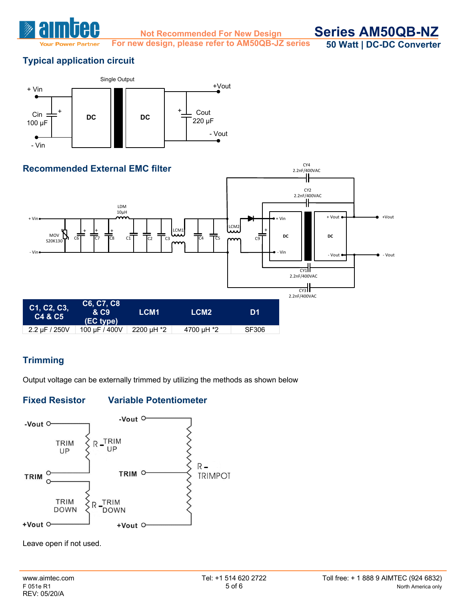

**For new design, please refer to AM50QB-JZ series**

**Series AM50QB-NZ 50 Watt | DC-DC Converter**

# **Typical application circuit**





# **Trimming**

Output voltage can be externally trimmed by utilizing the methods as shown below

## **Fixed Resistor Variable Potentiometer**



Leave open if not used.